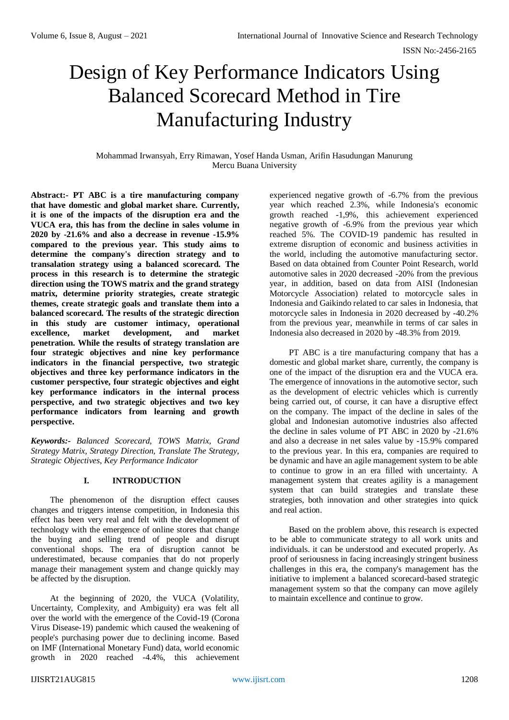# Design of Key Performance Indicators Using Balanced Scorecard Method in Tire Manufacturing Industry

Mohammad Irwansyah, Erry Rimawan, Yosef Handa Usman, Arifin Hasudungan Manurung Mercu Buana University

**Abstract:- PT ABC is a tire manufacturing company that have domestic and global market share. Currently, it is one of the impacts of the disruption era and the VUCA era, this has from the decline in sales volume in 2020 by -21.6% and also a decrease in revenue -15.9% compared to the previous year. This study aims to determine the company's direction strategy and to transalation strategy using a balanced scorecard. The process in this research is to determine the strategic direction using the TOWS matrix and the grand strategy matrix, determine priority strategies, create strategic themes, create strategic goals and translate them into a balanced scorecard. The results of the strategic direction in this study are customer intimacy, operational excellence, market development, and market penetration. While the results of strategy translation are four strategic objectives and nine key performance indicators in the financial perspective, two strategic objectives and three key performance indicators in the customer perspective, four strategic objectives and eight key performance indicators in the internal process perspective, and two strategic objectives and two key performance indicators from learning and growth perspective.**

*Keywords:- Balanced Scorecard, TOWS Matrix, Grand Strategy Matrix, Strategy Direction, Translate The Strategy, Strategic Objectives, Key Performance Indicator*

## **I. INTRODUCTION**

The phenomenon of the disruption effect causes changes and triggers intense competition, in Indonesia this effect has been very real and felt with the development of technology with the emergence of online stores that change the buying and selling trend of people and disrupt conventional shops. The era of disruption cannot be underestimated, because companies that do not properly manage their management system and change quickly may be affected by the disruption.

At the beginning of 2020, the VUCA (Volatility, Uncertainty, Complexity, and Ambiguity) era was felt all over the world with the emergence of the Covid-19 (Corona Virus Disease-19) pandemic which caused the weakening of people's purchasing power due to declining income. Based on IMF (International Monetary Fund) data, world economic growth in 2020 reached -4.4%, this achievement

experienced negative growth of -6.7% from the previous year which reached 2.3%, while Indonesia's economic growth reached -1,9%, this achievement experienced negative growth of -6.9% from the previous year which reached 5%. The COVID-19 pandemic has resulted in extreme disruption of economic and business activities in the world, including the automotive manufacturing sector. Based on data obtained from Counter Point Research, world automotive sales in 2020 decreased -20% from the previous year, in addition, based on data from AISI (Indonesian Motorcycle Association) related to motorcycle sales in Indonesia and Gaikindo related to car sales in Indonesia, that motorcycle sales in Indonesia in 2020 decreased by -40.2% from the previous year, meanwhile in terms of car sales in Indonesia also decreased in 2020 by -48.3% from 2019.

PT ABC is a tire manufacturing company that has a domestic and global market share, currently, the company is one of the impact of the disruption era and the VUCA era. The emergence of innovations in the automotive sector, such as the development of electric vehicles which is currently being carried out, of course, it can have a disruptive effect on the company. The impact of the decline in sales of the global and Indonesian automotive industries also affected the decline in sales volume of PT ABC in 2020 by -21.6% and also a decrease in net sales value by -15.9% compared to the previous year. In this era, companies are required to be dynamic and have an agile management system to be able to continue to grow in an era filled with uncertainty. A management system that creates agility is a management system that can build strategies and translate these strategies, both innovation and other strategies into quick and real action.

Based on the problem above, this research is expected to be able to communicate strategy to all work units and individuals. it can be understood and executed properly. As proof of seriousness in facing increasingly stringent business challenges in this era, the company's management has the initiative to implement a balanced scorecard-based strategic management system so that the company can move agilely to maintain excellence and continue to grow.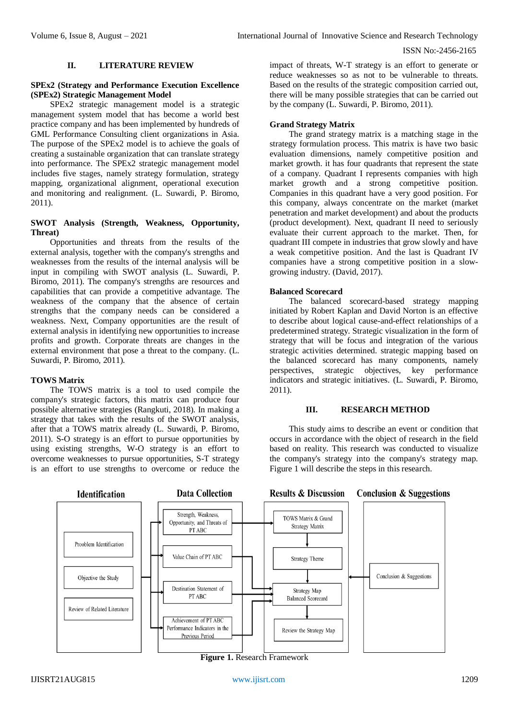#### **II. LITERATURE REVIEW**

#### **SPEx2 (Strategy and Performance Execution Excellence (SPEx2) Strategic Management Model**

SPEx2 strategic management model is a strategic management system model that has become a world best practice company and has been implemented by hundreds of GML Performance Consulting client organizations in Asia. The purpose of the SPEx2 model is to achieve the goals of creating a sustainable organization that can translate strategy into performance. The SPEx2 strategic management model includes five stages, namely strategy formulation, strategy mapping, organizational alignment, operational execution and monitoring and realignment. (L. Suwardi, P. Biromo, 2011).

## **SWOT Analysis (Strength, Weakness, Opportunity, Threat)**

Opportunities and threats from the results of the external analysis, together with the company's strengths and weaknesses from the results of the internal analysis will be input in compiling with SWOT analysis (L. Suwardi, P. Biromo, 2011). The company's strengths are resources and capabilities that can provide a competitive advantage. The weakness of the company that the absence of certain strengths that the company needs can be considered a weakness. Next, Company opportunities are the result of external analysis in identifying new opportunities to increase profits and growth. Corporate threats are changes in the external environment that pose a threat to the company. (L. Suwardi, P. Biromo, 2011).

## **TOWS Matrix**

The TOWS matrix is a tool to used compile the company's strategic factors, this matrix can produce four possible alternative strategies (Rangkuti, 2018). In making a strategy that takes with the results of the SWOT analysis, after that a TOWS matrix already (L. Suwardi, P. Biromo, 2011). S-O strategy is an effort to pursue opportunities by using existing strengths, W-O strategy is an effort to overcome weaknesses to pursue opportunities, S-T strategy is an effort to use strengths to overcome or reduce the

**Identification** 



by the company (L. Suwardi, P. Biromo, 2011). **Grand Strategy Matrix** The grand strategy matrix is a matching stage in the

impact of threats, W-T strategy is an effort to generate or reduce weaknesses so as not to be vulnerable to threats. Based on the results of the strategic composition carried out, there will be many possible strategies that can be carried out

strategy formulation process. This matrix is have two basic evaluation dimensions, namely competitive position and market growth. it has four quadrants that represent the state of a company. Quadrant I represents companies with high market growth and a strong competitive position. Companies in this quadrant have a very good position. For this company, always concentrate on the market (market penetration and market development) and about the products (product development). Next, quadrant II need to seriously evaluate their current approach to the market. Then, for quadrant III compete in industries that grow slowly and have a weak competitive position. And the last is Quadrant IV companies have a strong competitive position in a slowgrowing industry. (David, 2017).

## **Balanced Scorecard**

**Results & Discussion** 

The balanced scorecard-based strategy mapping initiated by Robert Kaplan and David Norton is an effective to describe about logical cause-and-effect relationships of a predetermined strategy. Strategic visualization in the form of strategy that will be focus and integration of the various strategic activities determined. strategic mapping based on the balanced scorecard has many components, namely perspectives, strategic objectives, key performance indicators and strategic initiatives. (L. Suwardi, P. Biromo, 2011).

## **III. RESEARCH METHOD**

This study aims to describe an event or condition that occurs in accordance with the object of research in the field based on reality. This research was conducted to visualize the company's strategy into the company's strategy map. Figure 1 will describe the steps in this research.

**Conclusion & Suggestions** 

#### Strength, Weakness. TOWS Matrix & Grand Opportunity, and Threats of Strategy Matrix PT ABC Prooblem Identification Value Chain of PT ABC Strategy Theme Conclusion & Suggestions Objective the Study Destination Statement of Strategy Map PT ABC **Balanced Scorecard** Review of Related Literature Achievement of PT ABC Performance Indicators in the Review the Strategy Map Previous Period

**Figure 1.** Research Framework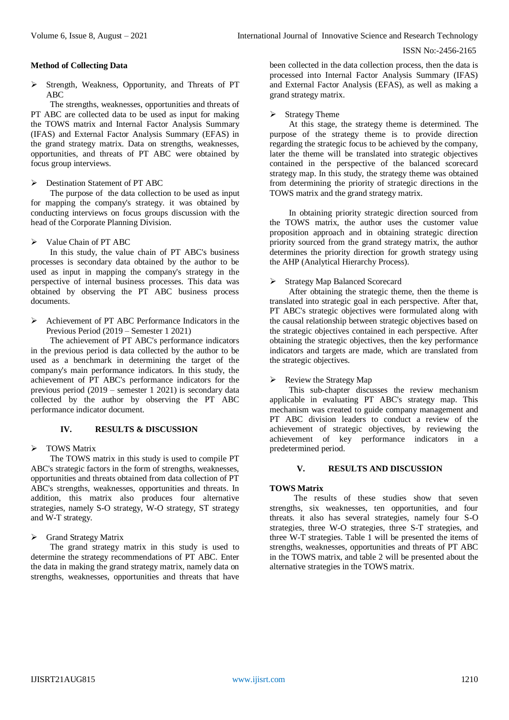## **Method of Collecting Data**

 Strength, Weakness, Opportunity, and Threats of PT ABC

The strengths, weaknesses, opportunities and threats of PT ABC are collected data to be used as input for making the TOWS matrix and Internal Factor Analysis Summary (IFAS) and External Factor Analysis Summary (EFAS) in the grand strategy matrix. Data on strengths, weaknesses, opportunities, and threats of PT ABC were obtained by focus group interviews.

## **Destination Statement of PT ABC**

The purpose of the data collection to be used as input for mapping the company's strategy. it was obtained by conducting interviews on focus groups discussion with the head of the Corporate Planning Division.

## $\triangleright$  Value Chain of PT ABC

In this study, the value chain of PT ABC's business processes is secondary data obtained by the author to be used as input in mapping the company's strategy in the perspective of internal business processes. This data was obtained by observing the PT ABC business process documents.

Achievement of PT ABC Performance Indicators in the Previous Period (2019 – Semester 1 2021)

The achievement of PT ABC's performance indicators in the previous period is data collected by the author to be used as a benchmark in determining the target of the company's main performance indicators. In this study, the achievement of PT ABC's performance indicators for the previous period (2019 – semester 1 2021) is secondary data collected by the author by observing the PT ABC performance indicator document.

## **IV. RESULTS & DISCUSSION**

## > TOWS Matrix

The TOWS matrix in this study is used to compile PT ABC's strategic factors in the form of strengths, weaknesses, opportunities and threats obtained from data collection of PT ABC's strengths, weaknesses, opportunities and threats. In addition, this matrix also produces four alternative strategies, namely S-O strategy, W-O strategy, ST strategy and W-T strategy.

Grand Strategy Matrix

The grand strategy matrix in this study is used to determine the strategy recommendations of PT ABC. Enter the data in making the grand strategy matrix, namely data on strengths, weaknesses, opportunities and threats that have

been collected in the data collection process, then the data is processed into Internal Factor Analysis Summary (IFAS) and External Factor Analysis (EFAS), as well as making a grand strategy matrix.

## Strategy Theme

At this stage, the strategy theme is determined. The purpose of the strategy theme is to provide direction regarding the strategic focus to be achieved by the company, later the theme will be translated into strategic objectives contained in the perspective of the balanced scorecard strategy map. In this study, the strategy theme was obtained from determining the priority of strategic directions in the TOWS matrix and the grand strategy matrix.

In obtaining priority strategic direction sourced from the TOWS matrix, the author uses the customer value proposition approach and in obtaining strategic direction priority sourced from the grand strategy matrix, the author determines the priority direction for growth strategy using the AHP (Analytical Hierarchy Process).

## Strategy Map Balanced Scorecard

After obtaining the strategic theme, then the theme is translated into strategic goal in each perspective. After that, PT ABC's strategic objectives were formulated along with the causal relationship between strategic objectives based on the strategic objectives contained in each perspective. After obtaining the strategic objectives, then the key performance indicators and targets are made, which are translated from the strategic objectives.

## $\triangleright$  Review the Strategy Map

This sub-chapter discusses the review mechanism applicable in evaluating PT ABC's strategy map. This mechanism was created to guide company management and PT ABC division leaders to conduct a review of the achievement of strategic objectives, by reviewing the achievement of key performance indicators in a predetermined period.

## **V. RESULTS AND DISCUSSION**

## **TOWS Matrix**

The results of these studies show that seven strengths, six weaknesses, ten opportunities, and four threats. it also has several strategies, namely four S-O strategies, three W-O strategies, three S-T strategies, and three W-T strategies. Table 1 will be presented the items of strengths, weaknesses, opportunities and threats of PT ABC in the TOWS matrix, and table 2 will be presented about the alternative strategies in the TOWS matrix.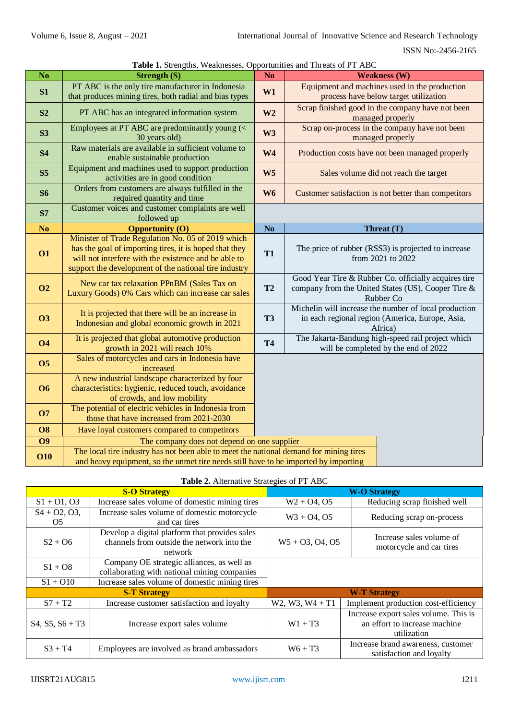| Table 1. Strengths, Weaknesses, Opportunities and Threats of PT ABC |  |  |  |  |
|---------------------------------------------------------------------|--|--|--|--|
|---------------------------------------------------------------------|--|--|--|--|

|                        | <b>Table 1.</b> Suchguis, Weaknesses, Opportunities and Tineats of TT ADC                                                             |                                                       |                                                                          |  |
|------------------------|---------------------------------------------------------------------------------------------------------------------------------------|-------------------------------------------------------|--------------------------------------------------------------------------|--|
| $\overline{\text{No}}$ | <b>Strength (S)</b>                                                                                                                   | N <sub>o</sub>                                        | <b>Weakness (W)</b>                                                      |  |
| S1                     | PT ABC is the only tire manufacturer in Indonesia                                                                                     | W1                                                    | Equipment and machines used in the production                            |  |
|                        | that produces mining tires, both radial and bias types                                                                                |                                                       | process have below target utilization                                    |  |
| S <sub>2</sub>         | W <sub>2</sub><br>PT ABC has an integrated information system                                                                         |                                                       | Scrap finished good in the company have not been                         |  |
|                        |                                                                                                                                       |                                                       | managed properly                                                         |  |
| S3                     | Employees at PT ABC are predominantly young (<                                                                                        | W <sub>3</sub>                                        | Scrap on-process in the company have not been                            |  |
|                        | 30 years old)<br>Raw materials are available in sufficient volume to                                                                  |                                                       | managed properly                                                         |  |
| <b>S4</b>              | enable sustainable production                                                                                                         | W <sub>4</sub>                                        | Production costs have not been managed properly                          |  |
|                        | Equipment and machines used to support production                                                                                     |                                                       |                                                                          |  |
| S <sub>5</sub>         | activities are in good condition                                                                                                      | W <sub>5</sub>                                        | Sales volume did not reach the target                                    |  |
| <b>S6</b>              | Orders from customers are always fulfilled in the                                                                                     | W <sub>6</sub>                                        | Customer satisfaction is not better than competitors                     |  |
|                        | required quantity and time                                                                                                            |                                                       |                                                                          |  |
| <b>S7</b>              | Customer voices and customer complaints are well                                                                                      |                                                       |                                                                          |  |
|                        | followed up                                                                                                                           |                                                       |                                                                          |  |
| N <sub>o</sub>         | <b>Opportunity (O)</b>                                                                                                                | N <sub>o</sub>                                        | Threat (T)                                                               |  |
|                        | Minister of Trade Regulation No. 05 of 2019 which                                                                                     |                                                       |                                                                          |  |
| <b>O1</b>              | has the goal of importing tires, it is hoped that they<br>will not interfere with the existence and be able to                        | <b>T1</b>                                             | The price of rubber (RSS3) is projected to increase<br>from 2021 to 2022 |  |
|                        |                                                                                                                                       |                                                       |                                                                          |  |
|                        | support the development of the national tire industry                                                                                 |                                                       | Good Year Tire & Rubber Co. officially acquires tire                     |  |
| <b>O2</b>              | New car tax relaxation PPnBM (Sales Tax on<br>Luxury Goods) 0% Cars which can increase car sales                                      |                                                       | company from the United States (US), Cooper Tire &                       |  |
|                        |                                                                                                                                       |                                                       | Rubber Co                                                                |  |
|                        |                                                                                                                                       | Michelin will increase the number of local production |                                                                          |  |
| <b>O3</b>              | It is projected that there will be an increase in                                                                                     |                                                       | in each regional region (America, Europe, Asia,                          |  |
|                        | Indonesian and global economic growth in 2021                                                                                         | <b>T3</b>                                             | Africa)                                                                  |  |
| <b>O4</b>              | It is projected that global automotive production                                                                                     | <b>T4</b>                                             | The Jakarta-Bandung high-speed rail project which                        |  |
|                        | growth in 2021 will reach 10%                                                                                                         |                                                       | will be completed by the end of 2022                                     |  |
| <b>O5</b>              | Sales of motorcycles and cars in Indonesia have                                                                                       |                                                       |                                                                          |  |
|                        | increased                                                                                                                             |                                                       |                                                                          |  |
|                        | A new industrial landscape characterized by four                                                                                      |                                                       |                                                                          |  |
| <b>O6</b>              | characteristics: hygienic, reduced touch, avoidance                                                                                   |                                                       |                                                                          |  |
|                        | of crowds, and low mobility                                                                                                           |                                                       |                                                                          |  |
| <b>O7</b>              | The potential of electric vehicles in Indonesia from<br>those that have increased from 2021-2030                                      |                                                       |                                                                          |  |
| <b>O8</b>              | Have loyal customers compared to competitors                                                                                          |                                                       |                                                                          |  |
|                        |                                                                                                                                       |                                                       |                                                                          |  |
| <b>O9</b>              | The company does not depend on one supplier<br>The local tire industry has not been able to meet the national demand for mining tires |                                                       |                                                                          |  |
| <b>O10</b>             | and heavy equipment, so the unmet tire needs still have to be imported by importing                                                   |                                                       |                                                                          |  |
|                        |                                                                                                                                       |                                                       |                                                                          |  |

|                                                              | <b>S-O Strategy</b>                                                                                     |                    | <b>W-O Strategy</b>                                                                   |  |
|--------------------------------------------------------------|---------------------------------------------------------------------------------------------------------|--------------------|---------------------------------------------------------------------------------------|--|
| $S1 + O1, O3$                                                | Increase sales volume of domestic mining tires                                                          | $W2 + O4, O5$      | Reducing scrap finished well                                                          |  |
| $S4 + O2, O3,$<br>O <sub>5</sub>                             | Increase sales volume of domestic motorcycle<br>and car tires                                           | $W3 + O4, O5$      | Reducing scrap on-process                                                             |  |
| $S2 + OS$                                                    | Develop a digital platform that provides sales<br>channels from outside the network into the<br>network | $W5 + 03$ , 04, 05 | Increase sales volume of<br>motorcycle and car tires                                  |  |
| $S1 + O8$                                                    | Company OE strategic alliances, as well as<br>collaborating with national mining companies              |                    |                                                                                       |  |
| Increase sales volume of domestic mining tires<br>$S1 + O10$ |                                                                                                         |                    |                                                                                       |  |
|                                                              | <b>S-T Strategy</b>                                                                                     |                    | <b>W-T Strategy</b>                                                                   |  |
| $S7 + T2$                                                    | Increase customer satisfaction and loyalty                                                              | $W2, W3, W4 + T1$  | Implement production cost-efficiency                                                  |  |
| $S4, S5, S6 + T3$                                            | Increase export sales volume                                                                            | $W1 + T3$          | Increase export sales volume. This is<br>an effort to increase machine<br>utilization |  |
| $S3 + T4$                                                    | Employees are involved as brand ambassadors                                                             | $W6 + T3$          | Increase brand awareness, customer<br>satisfaction and loyalty                        |  |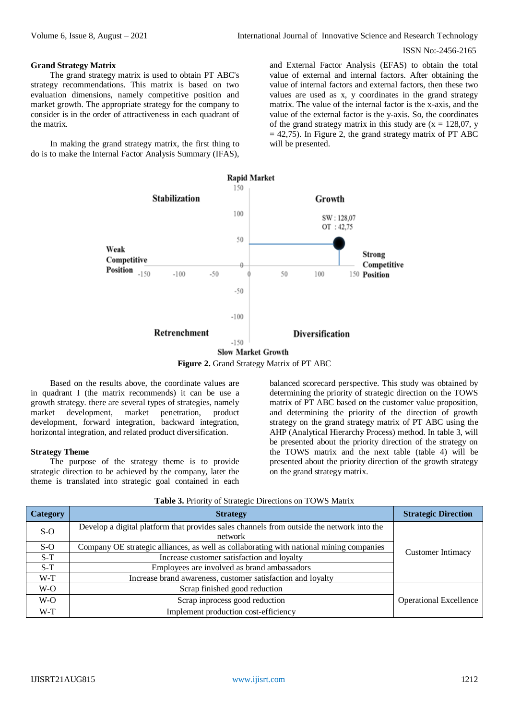#### **Grand Strategy Matrix**

The grand strategy matrix is used to obtain PT ABC's strategy recommendations. This matrix is based on two evaluation dimensions, namely competitive position and market growth. The appropriate strategy for the company to consider is in the order of attractiveness in each quadrant of the matrix.

In making the grand strategy matrix, the first thing to do is to make the Internal Factor Analysis Summary (IFAS),

and External Factor Analysis (EFAS) to obtain the total value of external and internal factors. After obtaining the value of internal factors and external factors, then these two values are used as x, y coordinates in the grand strategy matrix. The value of the internal factor is the x-axis, and the value of the external factor is the y-axis. So, the coordinates of the grand strategy matrix in this study are  $(x = 128,07, y)$  $= 42,75$ ). In Figure 2, the grand strategy matrix of PT ABC will be presented.



**Figure 2.** Grand Strategy Matrix of PT ABC

Based on the results above, the coordinate values are in quadrant I (the matrix recommends) it can be use a growth strategy. there are several types of strategies, namely market development, market penetration, product development, forward integration, backward integration, horizontal integration, and related product diversification.

#### **Strategy Theme**

The purpose of the strategy theme is to provide strategic direction to be achieved by the company, later the theme is translated into strategic goal contained in each

balanced scorecard perspective. This study was obtained by determining the priority of strategic direction on the TOWS matrix of PT ABC based on the customer value proposition, and determining the priority of the direction of growth strategy on the grand strategy matrix of PT ABC using the AHP (Analytical Hierarchy Process) method. In table 3, will be presented about the priority direction of the strategy on the TOWS matrix and the next table (table 4) will be presented about the priority direction of the growth strategy on the grand strategy matrix.

| <b>Category</b> | <b>Strategy</b>                                                                                      | <b>Strategic Direction</b>    |
|-----------------|------------------------------------------------------------------------------------------------------|-------------------------------|
| $S-O$           | Develop a digital platform that provides sales channels from outside the network into the<br>network |                               |
| $S-O$           | Company OE strategic alliances, as well as collaborating with national mining companies              | <b>Customer Intimacy</b>      |
| $S-T$           | Increase customer satisfaction and loyalty                                                           |                               |
| $S-T$           | Employees are involved as brand ambassadors                                                          |                               |
| $W-T$           | Increase brand awareness, customer satisfaction and loyalty                                          |                               |
| W-O             | Scrap finished good reduction                                                                        |                               |
| $W-O$           | Scrap inprocess good reduction                                                                       | <b>Operational Excellence</b> |
| $W-T$           | Implement production cost-efficiency                                                                 |                               |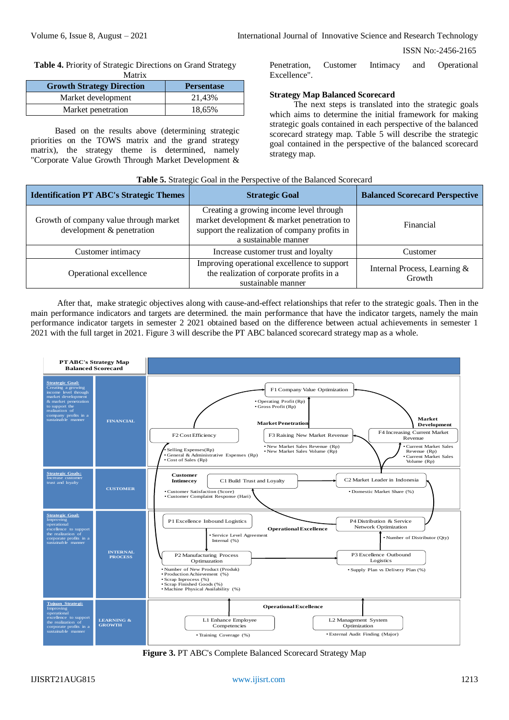**Table 4.** Priority of Strategic Directions on Grand Strategy Matrix

| <b>Growth Strategy Direction</b> | <b>Persentase</b> |
|----------------------------------|-------------------|
| Market development               | 21.43%            |
| Market penetration               | 18.65%            |

Based on the results above (determining strategic priorities on the TOWS matrix and the grand strategy matrix), the strategy theme is determined, namely "Corporate Value Growth Through Market Development &

Penetration, Customer Intimacy and Operational Excellence".

## **Strategy Map Balanced Scorecard**

The next steps is translated into the strategic goals which aims to determine the initial framework for making strategic goals contained in each perspective of the balanced scorecard strategy map. Table 5 will describe the strategic goal contained in the perspective of the balanced scorecard strategy map.

| Table 5. Strategic Goal in the Perspective of the Balanced Scorecard |                                                                                                                                                                |                                        |  |
|----------------------------------------------------------------------|----------------------------------------------------------------------------------------------------------------------------------------------------------------|----------------------------------------|--|
| <b>Identification PT ABC's Strategic Themes</b>                      | <b>Strategic Goal</b>                                                                                                                                          | <b>Balanced Scorecard Perspective</b>  |  |
| Growth of company value through market<br>development & penetration  | Creating a growing income level through<br>market development & market penetration to<br>support the realization of company profits in<br>a sustainable manner | Financial                              |  |
| Customer intimacy                                                    | Increase customer trust and loyalty                                                                                                                            | Customer                               |  |
| Operational excellence                                               | Improving operational excellence to support<br>the realization of corporate profits in a<br>sustainable manner                                                 | Internal Process, Learning &<br>Growth |  |

After that, make strategic objectives along with cause-and-effect relationships that refer to the strategic goals. Then in the main performance indicators and targets are determined. the main performance that have the indicator targets, namely the main performance indicator targets in semester 2 2021 obtained based on the difference between actual achievements in semester 1 2021 with the full target in 2021. Figure 3 will describe the PT ABC balanced scorecard strategy map as a whole.



**Figure 3.** PT ABC's Complete Balanced Scorecard Strategy Map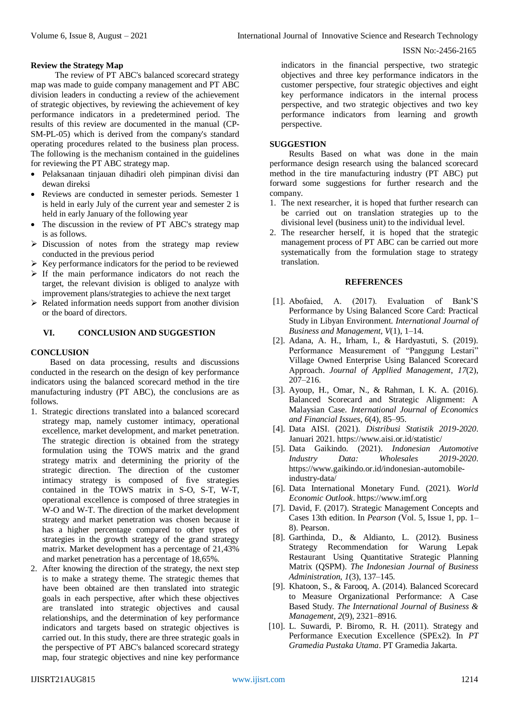#### **Review the Strategy Map**

The review of PT ABC's balanced scorecard strategy map was made to guide company management and PT ABC division leaders in conducting a review of the achievement of strategic objectives, by reviewing the achievement of key performance indicators in a predetermined period. The results of this review are documented in the manual (CP-SM-PL-05) which is derived from the company's standard operating procedures related to the business plan process. The following is the mechanism contained in the guidelines for reviewing the PT ABC strategy map.

- Pelaksanaan tinjauan dihadiri oleh pimpinan divisi dan dewan direksi
- Reviews are conducted in semester periods. Semester 1 is held in early July of the current year and semester 2 is held in early January of the following year
- The discussion in the review of PT ABC's strategy map is as follows.
- $\triangleright$  Discussion of notes from the strategy map review conducted in the previous period
- $\triangleright$  Key performance indicators for the period to be reviewed
- $\triangleright$  If the main performance indicators do not reach the target, the relevant division is obliged to analyze with improvement plans/strategies to achieve the next target
- $\triangleright$  Related information needs support from another division or the board of directors.

## **VI. CONCLUSION AND SUGGESTION**

#### **CONCLUSION**

Based on data processing, results and discussions conducted in the research on the design of key performance indicators using the balanced scorecard method in the tire manufacturing industry (PT ABC), the conclusions are as follows.

- 1. Strategic directions translated into a balanced scorecard strategy map, namely customer intimacy, operational excellence, market development, and market penetration. The strategic direction is obtained from the strategy formulation using the TOWS matrix and the grand strategy matrix and determining the priority of the strategic direction. The direction of the customer intimacy strategy is composed of five strategies contained in the TOWS matrix in S-O, S-T, W-T, operational excellence is composed of three strategies in W-O and W-T. The direction of the market development strategy and market penetration was chosen because it has a higher percentage compared to other types of strategies in the growth strategy of the grand strategy matrix. Market development has a percentage of 21,43% and market penetration has a percentage of 18,65%.
- 2. After knowing the direction of the strategy, the next step is to make a strategy theme. The strategic themes that have been obtained are then translated into strategic goals in each perspective, after which these objectives are translated into strategic objectives and causal relationships, and the determination of key performance indicators and targets based on strategic objectives is carried out. In this study, there are three strategic goals in the perspective of PT ABC's balanced scorecard strategy map, four strategic objectives and nine key performance

indicators in the financial perspective, two strategic objectives and three key performance indicators in the customer perspective, four strategic objectives and eight key performance indicators in the internal process perspective, and two strategic objectives and two key performance indicators from learning and growth perspective.

#### **SUGGESTION**

Results Based on what was done in the main performance design research using the balanced scorecard method in the tire manufacturing industry (PT ABC) put forward some suggestions for further research and the company.

- 1. The next researcher, it is hoped that further research can be carried out on translation strategies up to the divisional level (business unit) to the individual level.
- 2. The researcher herself, it is hoped that the strategic management process of PT ABC can be carried out more systematically from the formulation stage to strategy translation.

#### **REFERENCES**

- [1]. Abofaied, A. (2017). Evaluation of Bank'S Performance by Using Balanced Score Card: Practical Study in Libyan Environment. *International Journal of Business and Management*, *V*(1), 1–14.
- [2]. Adana, A. H., Irham, I., & Hardyastuti, S. (2019). Performance Measurement of "Panggung Lestari" Village Owned Enterprise Using Balanced Scorecard Approach. *Journal of Appllied Management*, *17*(2),  $207 - 216$ .
- [3]. Ayoup, H., Omar, N., & Rahman, I. K. A. (2016). Balanced Scorecard and Strategic Alignment: A Malaysian Case. *International Journal of Economics and Financial Issues*, *6*(4), 85–95.
- [4]. Data AISI. (2021). *Distribusi Statistik 2019-2020*. Januari 2021. https://www.aisi.or.id/statistic/
- [5]. Data Gaikindo. (2021). *Indonesian Automotive Industry Data: Wholesales 2019-2020*. https://www.gaikindo.or.id/indonesian-automobileindustry-data/
- [6]. Data International Monetary Fund. (2021). *World Economic Outlook*. https://www.imf.org
- [7]. David, F. (2017). Strategic Management Concepts and Cases 13th edition. In *Pearson* (Vol. 5, Issue 1, pp. 1– 8). Pearson.
- [8]. Garthinda, D., & Aldianto, L. (2012). Business Strategy Recommendation for Warung Lepak Restaurant Using Quantitative Strategic Planning Matrix (QSPM). *The Indonesian Journal of Business Administration*, *1*(3), 137–145.
- [9]. Khatoon, S., & Farooq, A. (2014). Balanced Scorecard to Measure Organizational Performance: A Case Based Study. *The International Journal of Business & Management*, *2*(9), 2321–8916.
- [10]. L. Suwardi, P. Biromo, R. H. (2011). Strategy and Performance Execution Excellence (SPEx2). In *PT Gramedia Pustaka Utama*. PT Gramedia Jakarta.